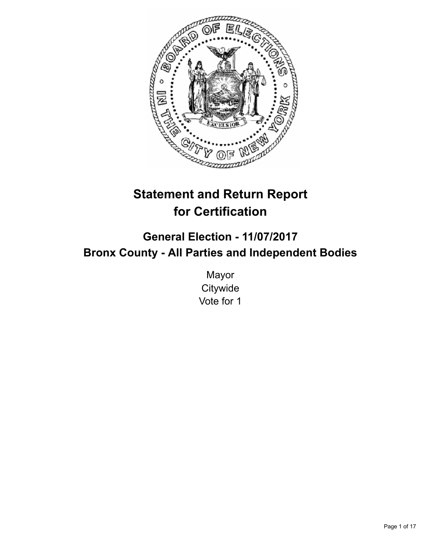

# **Statement and Return Report for Certification**

# **General Election - 11/07/2017 Bronx County - All Parties and Independent Bodies**

Mayor **Citywide** Vote for 1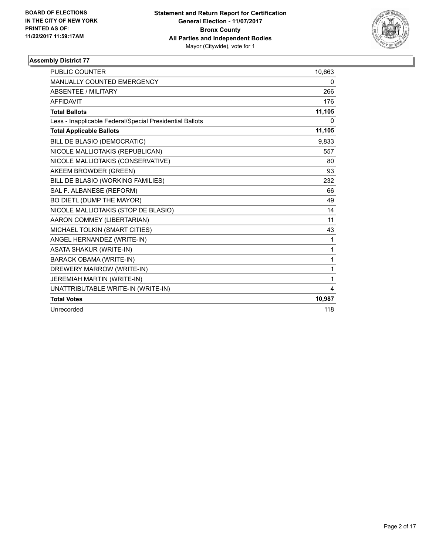

| <b>PUBLIC COUNTER</b>                                    | 10,663       |
|----------------------------------------------------------|--------------|
| <b>MANUALLY COUNTED EMERGENCY</b>                        | 0            |
| <b>ABSENTEE / MILITARY</b>                               | 266          |
| <b>AFFIDAVIT</b>                                         | 176          |
| <b>Total Ballots</b>                                     | 11,105       |
| Less - Inapplicable Federal/Special Presidential Ballots | 0            |
| <b>Total Applicable Ballots</b>                          | 11,105       |
| BILL DE BLASIO (DEMOCRATIC)                              | 9,833        |
| NICOLE MALLIOTAKIS (REPUBLICAN)                          | 557          |
| NICOLE MALLIOTAKIS (CONSERVATIVE)                        | 80           |
| AKEEM BROWDER (GREEN)                                    | 93           |
| BILL DE BLASIO (WORKING FAMILIES)                        | 232          |
| SAL F. ALBANESE (REFORM)                                 | 66           |
| BO DIETL (DUMP THE MAYOR)                                | 49           |
| NICOLE MALLIOTAKIS (STOP DE BLASIO)                      | 14           |
| AARON COMMEY (LIBERTARIAN)                               | 11           |
| MICHAEL TOLKIN (SMART CITIES)                            | 43           |
| ANGEL HERNANDEZ (WRITE-IN)                               | 1            |
| <b>ASATA SHAKUR (WRITE-IN)</b>                           | $\mathbf{1}$ |
| <b>BARACK OBAMA (WRITE-IN)</b>                           | $\mathbf{1}$ |
| DREWERY MARROW (WRITE-IN)                                | $\mathbf{1}$ |
| JEREMIAH MARTIN (WRITE-IN)                               | 1            |
| UNATTRIBUTABLE WRITE-IN (WRITE-IN)                       | 4            |
| <b>Total Votes</b>                                       | 10,987       |
| Unrecorded                                               | 118          |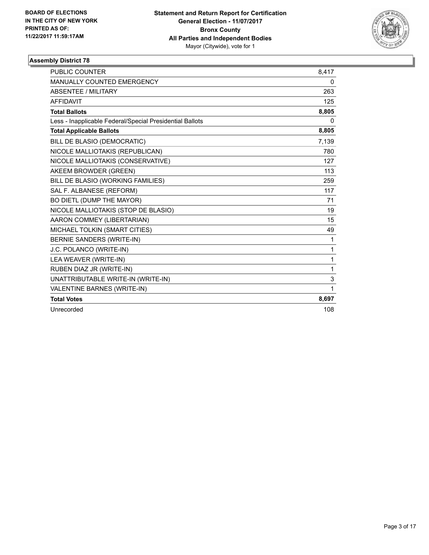

| <b>PUBLIC COUNTER</b>                                    | 8,417        |
|----------------------------------------------------------|--------------|
| MANUALLY COUNTED EMERGENCY                               | 0            |
| <b>ABSENTEE / MILITARY</b>                               | 263          |
| <b>AFFIDAVIT</b>                                         | 125          |
| <b>Total Ballots</b>                                     | 8,805        |
| Less - Inapplicable Federal/Special Presidential Ballots | 0            |
| <b>Total Applicable Ballots</b>                          | 8,805        |
| BILL DE BLASIO (DEMOCRATIC)                              | 7,139        |
| NICOLE MALLIOTAKIS (REPUBLICAN)                          | 780          |
| NICOLE MALLIOTAKIS (CONSERVATIVE)                        | 127          |
| AKEEM BROWDER (GREEN)                                    | 113          |
| BILL DE BLASIO (WORKING FAMILIES)                        | 259          |
| SAL F. ALBANESE (REFORM)                                 | 117          |
| BO DIETL (DUMP THE MAYOR)                                | 71           |
| NICOLE MALLIOTAKIS (STOP DE BLASIO)                      | 19           |
| AARON COMMEY (LIBERTARIAN)                               | 15           |
| MICHAEL TOLKIN (SMART CITIES)                            | 49           |
| <b>BERNIE SANDERS (WRITE-IN)</b>                         | 1            |
| J.C. POLANCO (WRITE-IN)                                  | $\mathbf{1}$ |
| LEA WEAVER (WRITE-IN)                                    | 1            |
| RUBEN DIAZ JR (WRITE-IN)                                 | 1            |
| UNATTRIBUTABLE WRITE-IN (WRITE-IN)                       | 3            |
| VALENTINE BARNES (WRITE-IN)                              | $\mathbf{1}$ |
| <b>Total Votes</b>                                       | 8,697        |
| Unrecorded                                               | 108          |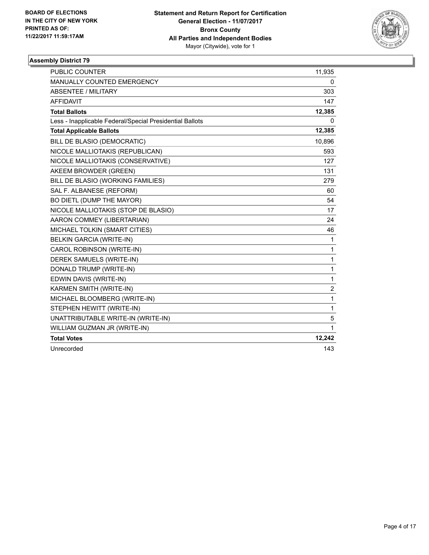

| <b>PUBLIC COUNTER</b>                                    | 11,935         |
|----------------------------------------------------------|----------------|
| <b>MANUALLY COUNTED EMERGENCY</b>                        | 0              |
| <b>ABSENTEE / MILITARY</b>                               | 303            |
| <b>AFFIDAVIT</b>                                         | 147            |
| <b>Total Ballots</b>                                     | 12,385         |
| Less - Inapplicable Federal/Special Presidential Ballots | 0              |
| <b>Total Applicable Ballots</b>                          | 12,385         |
| BILL DE BLASIO (DEMOCRATIC)                              | 10,896         |
| NICOLE MALLIOTAKIS (REPUBLICAN)                          | 593            |
| NICOLE MALLIOTAKIS (CONSERVATIVE)                        | 127            |
| AKEEM BROWDER (GREEN)                                    | 131            |
| BILL DE BLASIO (WORKING FAMILIES)                        | 279            |
| SAL F. ALBANESE (REFORM)                                 | 60             |
| BO DIETL (DUMP THE MAYOR)                                | 54             |
| NICOLE MALLIOTAKIS (STOP DE BLASIO)                      | 17             |
| AARON COMMEY (LIBERTARIAN)                               | 24             |
| MICHAEL TOLKIN (SMART CITIES)                            | 46             |
| <b>BELKIN GARCIA (WRITE-IN)</b>                          | 1              |
| CAROL ROBINSON (WRITE-IN)                                | 1              |
| DEREK SAMUELS (WRITE-IN)                                 | 1              |
| DONALD TRUMP (WRITE-IN)                                  | 1              |
| EDWIN DAVIS (WRITE-IN)                                   | 1              |
| KARMEN SMITH (WRITE-IN)                                  | $\overline{2}$ |
| MICHAEL BLOOMBERG (WRITE-IN)                             | 1              |
| STEPHEN HEWITT (WRITE-IN)                                | 1              |
| UNATTRIBUTABLE WRITE-IN (WRITE-IN)                       | 5              |
| WILLIAM GUZMAN JR (WRITE-IN)                             | 1              |
| <b>Total Votes</b>                                       | 12,242         |
| Unrecorded                                               | 143            |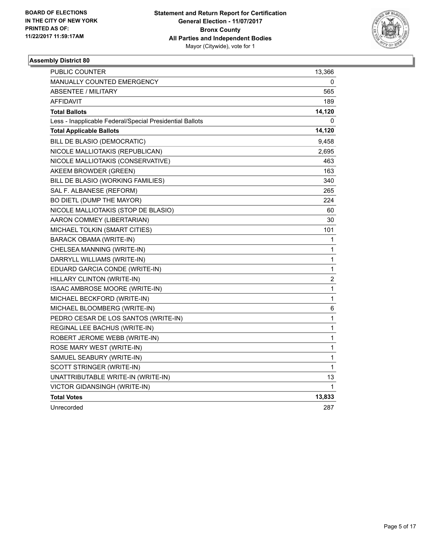

| PUBLIC COUNTER                                           | 13,366      |
|----------------------------------------------------------|-------------|
| MANUALLY COUNTED EMERGENCY                               | 0           |
| ABSENTEE / MILITARY                                      | 565         |
| <b>AFFIDAVIT</b>                                         | 189         |
| <b>Total Ballots</b>                                     | 14,120      |
| Less - Inapplicable Federal/Special Presidential Ballots | 0           |
| <b>Total Applicable Ballots</b>                          | 14,120      |
| BILL DE BLASIO (DEMOCRATIC)                              | 9,458       |
| NICOLE MALLIOTAKIS (REPUBLICAN)                          | 2,695       |
| NICOLE MALLIOTAKIS (CONSERVATIVE)                        | 463         |
| AKEEM BROWDER (GREEN)                                    | 163         |
| BILL DE BLASIO (WORKING FAMILIES)                        | 340         |
| SAL F. ALBANESE (REFORM)                                 | 265         |
| BO DIETL (DUMP THE MAYOR)                                | 224         |
| NICOLE MALLIOTAKIS (STOP DE BLASIO)                      | 60          |
| AARON COMMEY (LIBERTARIAN)                               | 30          |
| MICHAEL TOLKIN (SMART CITIES)                            | 101         |
| <b>BARACK OBAMA (WRITE-IN)</b>                           | 1           |
| CHELSEA MANNING (WRITE-IN)                               | 1           |
| DARRYLL WILLIAMS (WRITE-IN)                              | 1           |
| EDUARD GARCIA CONDE (WRITE-IN)                           | 1           |
| HILLARY CLINTON (WRITE-IN)                               | $\mathbf 2$ |
| ISAAC AMBROSE MOORE (WRITE-IN)                           | 1           |
| MICHAEL BECKFORD (WRITE-IN)                              | 1           |
| MICHAEL BLOOMBERG (WRITE-IN)                             | 6           |
| PEDRO CESAR DE LOS SANTOS (WRITE-IN)                     | 1           |
| REGINAL LEE BACHUS (WRITE-IN)                            | 1           |
| ROBERT JEROME WEBB (WRITE-IN)                            | 1           |
| ROSE MARY WEST (WRITE-IN)                                | 1           |
| SAMUEL SEABURY (WRITE-IN)                                | 1           |
| SCOTT STRINGER (WRITE-IN)                                | 1           |
| UNATTRIBUTABLE WRITE-IN (WRITE-IN)                       | 13          |
| VICTOR GIDANSINGH (WRITE-IN)                             | 1           |
| <b>Total Votes</b>                                       | 13,833      |
| Unrecorded                                               | 287         |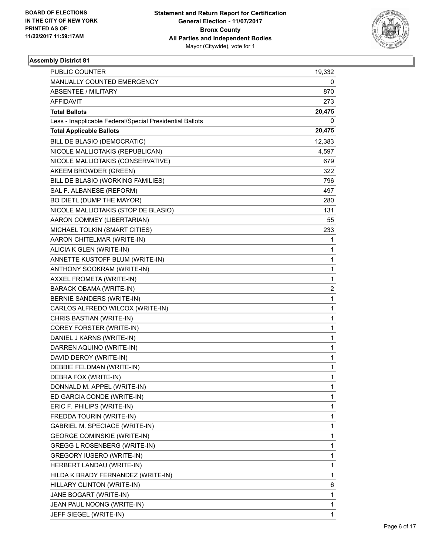

| <b>PUBLIC COUNTER</b>                                    | 19,332 |
|----------------------------------------------------------|--------|
| MANUALLY COUNTED EMERGENCY                               | 0      |
| <b>ABSENTEE / MILITARY</b>                               | 870    |
| AFFIDAVIT                                                | 273    |
| <b>Total Ballots</b>                                     | 20,475 |
| Less - Inapplicable Federal/Special Presidential Ballots | 0      |
| <b>Total Applicable Ballots</b>                          | 20,475 |
| BILL DE BLASIO (DEMOCRATIC)                              | 12,383 |
| NICOLE MALLIOTAKIS (REPUBLICAN)                          | 4,597  |
| NICOLE MALLIOTAKIS (CONSERVATIVE)                        | 679    |
| AKEEM BROWDER (GREEN)                                    | 322    |
| BILL DE BLASIO (WORKING FAMILIES)                        | 796    |
| SAL F. ALBANESE (REFORM)                                 | 497    |
| BO DIETL (DUMP THE MAYOR)                                | 280    |
| NICOLE MALLIOTAKIS (STOP DE BLASIO)                      | 131    |
| AARON COMMEY (LIBERTARIAN)                               | 55     |
| MICHAEL TOLKIN (SMART CITIES)                            | 233    |
| AARON CHITELMAR (WRITE-IN)                               | 1      |
| ALICIA K GLEN (WRITE-IN)                                 | 1      |
| ANNETTE KUSTOFF BLUM (WRITE-IN)                          | 1      |
| ANTHONY SOOKRAM (WRITE-IN)                               | 1      |
| AXXEL FROMETA (WRITE-IN)                                 | 1      |
| BARACK OBAMA (WRITE-IN)                                  | 2      |
| BERNIE SANDERS (WRITE-IN)                                | 1      |
| CARLOS ALFREDO WILCOX (WRITE-IN)                         | 1      |
| CHRIS BASTIAN (WRITE-IN)                                 | 1      |
| COREY FORSTER (WRITE-IN)                                 | 1      |
| DANIEL J KARNS (WRITE-IN)                                | 1      |
| DARREN AQUINO (WRITE-IN)                                 | 1      |
| DAVID DEROY (WRITE-IN)                                   | 1      |
| DEBBIE FELDMAN (WRITE-IN)                                | 1      |
| DEBRA FOX (WRITE-IN)                                     | 1      |
| DONNALD M. APPEL (WRITE-IN)                              | 1      |
| ED GARCIA CONDE (WRITE-IN)                               | 1      |
| ERIC F. PHILIPS (WRITE-IN)                               | 1      |
| FREDDA TOURIN (WRITE-IN)                                 | 1      |
| GABRIEL M. SPECIACE (WRITE-IN)                           | 1      |
| <b>GEORGE COMINSKIE (WRITE-IN)</b>                       | 1      |
| <b>GREGG L ROSENBERG (WRITE-IN)</b>                      | 1      |
| <b>GREGORY IUSERO (WRITE-IN)</b>                         | 1      |
| HERBERT LANDAU (WRITE-IN)                                | 1      |
| HILDA K BRADY FERNANDEZ (WRITE-IN)                       | 1      |
| HILLARY CLINTON (WRITE-IN)                               | 6      |
| JANE BOGART (WRITE-IN)                                   | 1      |
| JEAN PAUL NOONG (WRITE-IN)                               | 1      |
| JEFF SIEGEL (WRITE-IN)                                   | 1      |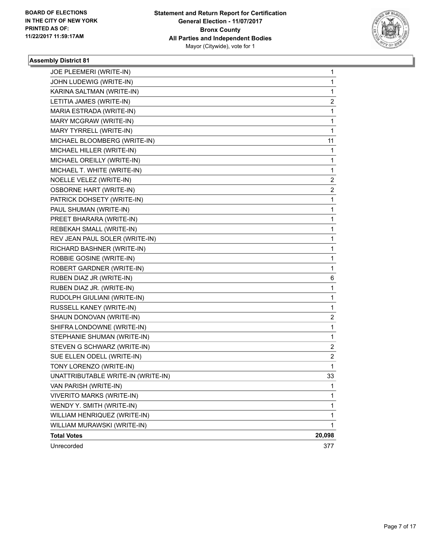

| JOE PLEEMERI (WRITE-IN)            | 1                       |
|------------------------------------|-------------------------|
| JOHN LUDEWIG (WRITE-IN)            | 1                       |
| KARINA SALTMAN (WRITE-IN)          | $\mathbf{1}$            |
| LETITIA JAMES (WRITE-IN)           | 2                       |
| MARIA ESTRADA (WRITE-IN)           | 1                       |
| MARY MCGRAW (WRITE-IN)             | 1                       |
| MARY TYRRELL (WRITE-IN)            | 1                       |
| MICHAEL BLOOMBERG (WRITE-IN)       | 11                      |
| MICHAEL HILLER (WRITE-IN)          | 1                       |
| MICHAEL OREILLY (WRITE-IN)         | 1                       |
| MICHAEL T. WHITE (WRITE-IN)        | 1                       |
| NOELLE VELEZ (WRITE-IN)            | 2                       |
| <b>OSBORNE HART (WRITE-IN)</b>     | 2                       |
| PATRICK DOHSETY (WRITE-IN)         | 1                       |
| PAUL SHUMAN (WRITE-IN)             | 1                       |
| PREET BHARARA (WRITE-IN)           | 1                       |
| REBEKAH SMALL (WRITE-IN)           | 1                       |
| REV JEAN PAUL SOLER (WRITE-IN)     | 1                       |
| RICHARD BASHNER (WRITE-IN)         | 1                       |
| ROBBIE GOSINE (WRITE-IN)           | 1                       |
| ROBERT GARDNER (WRITE-IN)          | 1                       |
| RUBEN DIAZ JR (WRITE-IN)           | 6                       |
| RUBEN DIAZ JR. (WRITE-IN)          | 1                       |
| RUDOLPH GIULIANI (WRITE-IN)        | 1                       |
| RUSSELL KANEY (WRITE-IN)           | 1                       |
| SHAUN DONOVAN (WRITE-IN)           | $\overline{\mathbf{c}}$ |
| SHIFRA LONDOWNE (WRITE-IN)         | 1                       |
| STEPHANIE SHUMAN (WRITE-IN)        | 1                       |
| STEVEN G SCHWARZ (WRITE-IN)        | 2                       |
| SUE ELLEN ODELL (WRITE-IN)         | $\overline{\mathbf{c}}$ |
| TONY LORENZO (WRITE-IN)            | 1                       |
| UNATTRIBUTABLE WRITE-IN (WRITE-IN) | 33                      |
| VAN PARISH (WRITE-IN)              | 1                       |
| <b>VIVERITO MARKS (WRITE-IN)</b>   | 1                       |
| WENDY Y. SMITH (WRITE-IN)          | 1                       |
| WILLIAM HENRIQUEZ (WRITE-IN)       | 1                       |
| WILLIAM MURAWSKI (WRITE-IN)        | 1                       |
| <b>Total Votes</b>                 | 20,098                  |
| Unrecorded                         | 377                     |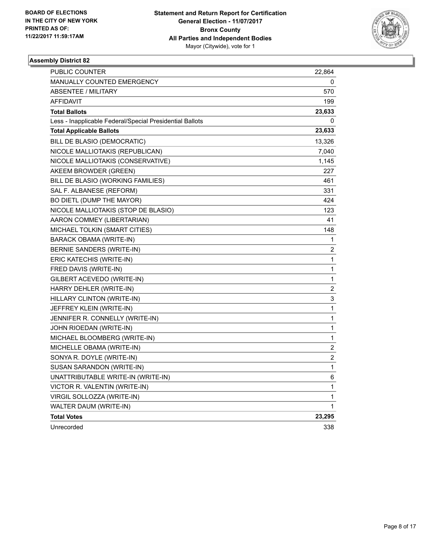

| <b>PUBLIC COUNTER</b>                                    | 22,864                  |
|----------------------------------------------------------|-------------------------|
| <b>MANUALLY COUNTED EMERGENCY</b>                        | 0                       |
| <b>ABSENTEE / MILITARY</b>                               | 570                     |
| AFFIDAVIT                                                | 199                     |
| <b>Total Ballots</b>                                     | 23,633                  |
| Less - Inapplicable Federal/Special Presidential Ballots | 0                       |
| <b>Total Applicable Ballots</b>                          | 23,633                  |
| BILL DE BLASIO (DEMOCRATIC)                              | 13,326                  |
| NICOLE MALLIOTAKIS (REPUBLICAN)                          | 7,040                   |
| NICOLE MALLIOTAKIS (CONSERVATIVE)                        | 1,145                   |
| AKEEM BROWDER (GREEN)                                    | 227                     |
| BILL DE BLASIO (WORKING FAMILIES)                        | 461                     |
| SAL F. ALBANESE (REFORM)                                 | 331                     |
| BO DIETL (DUMP THE MAYOR)                                | 424                     |
| NICOLE MALLIOTAKIS (STOP DE BLASIO)                      | 123                     |
| AARON COMMEY (LIBERTARIAN)                               | 41                      |
| MICHAEL TOLKIN (SMART CITIES)                            | 148                     |
| <b>BARACK OBAMA (WRITE-IN)</b>                           | 1                       |
| BERNIE SANDERS (WRITE-IN)                                | 2                       |
| ERIC KATECHIS (WRITE-IN)                                 | 1                       |
| FRED DAVIS (WRITE-IN)                                    | 1                       |
| GILBERT ACEVEDO (WRITE-IN)                               | 1                       |
| HARRY DEHLER (WRITE-IN)                                  | 2                       |
| HILLARY CLINTON (WRITE-IN)                               | 3                       |
| JEFFREY KLEIN (WRITE-IN)                                 | 1                       |
| JENNIFER R. CONNELLY (WRITE-IN)                          | 1                       |
| JOHN RIOEDAN (WRITE-IN)                                  | 1                       |
| MICHAEL BLOOMBERG (WRITE-IN)                             | 1                       |
| MICHELLE OBAMA (WRITE-IN)                                | $\overline{\mathbf{c}}$ |
| SONYA R. DOYLE (WRITE-IN)                                | 2                       |
| SUSAN SARANDON (WRITE-IN)                                | 1                       |
| UNATTRIBUTABLE WRITE-IN (WRITE-IN)                       | 6                       |
| VICTOR R. VALENTIN (WRITE-IN)                            | 1                       |
| VIRGIL SOLLOZZA (WRITE-IN)                               | 1                       |
| WALTER DAUM (WRITE-IN)                                   | 1                       |
| <b>Total Votes</b>                                       | 23,295                  |
| Unrecorded                                               | 338                     |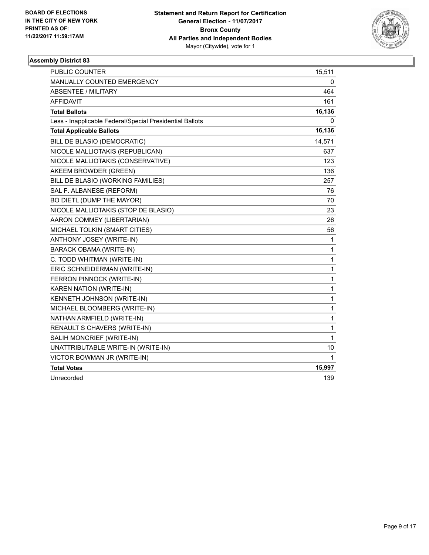

| PUBLIC COUNTER                                           | 15,511 |
|----------------------------------------------------------|--------|
| MANUALLY COUNTED EMERGENCY                               | 0      |
| <b>ABSENTEE / MILITARY</b>                               | 464    |
| <b>AFFIDAVIT</b>                                         | 161    |
| <b>Total Ballots</b>                                     | 16,136 |
| Less - Inapplicable Federal/Special Presidential Ballots | 0      |
| <b>Total Applicable Ballots</b>                          | 16,136 |
| BILL DE BLASIO (DEMOCRATIC)                              | 14,571 |
| NICOLE MALLIOTAKIS (REPUBLICAN)                          | 637    |
| NICOLE MALLIOTAKIS (CONSERVATIVE)                        | 123    |
| AKEEM BROWDER (GREEN)                                    | 136    |
| BILL DE BLASIO (WORKING FAMILIES)                        | 257    |
| SAL F. ALBANESE (REFORM)                                 | 76     |
| BO DIETL (DUMP THE MAYOR)                                | 70     |
| NICOLE MALLIOTAKIS (STOP DE BLASIO)                      | 23     |
| AARON COMMEY (LIBERTARIAN)                               | 26     |
| MICHAEL TOLKIN (SMART CITIES)                            | 56     |
| ANTHONY JOSEY (WRITE-IN)                                 | 1      |
| <b>BARACK OBAMA (WRITE-IN)</b>                           | 1      |
| C. TODD WHITMAN (WRITE-IN)                               | 1      |
| ERIC SCHNEIDERMAN (WRITE-IN)                             | 1      |
| FERRON PINNOCK (WRITE-IN)                                | 1      |
| KAREN NATION (WRITE-IN)                                  | 1      |
| KENNETH JOHNSON (WRITE-IN)                               | 1      |
| MICHAEL BLOOMBERG (WRITE-IN)                             | 1      |
| NATHAN ARMFIELD (WRITE-IN)                               | 1      |
| RENAULT S CHAVERS (WRITE-IN)                             | 1      |
| SALIH MONCRIEF (WRITE-IN)                                | 1      |
| UNATTRIBUTABLE WRITE-IN (WRITE-IN)                       | 10     |
| VICTOR BOWMAN JR (WRITE-IN)                              | 1      |
| <b>Total Votes</b>                                       | 15,997 |
| Unrecorded                                               | 139    |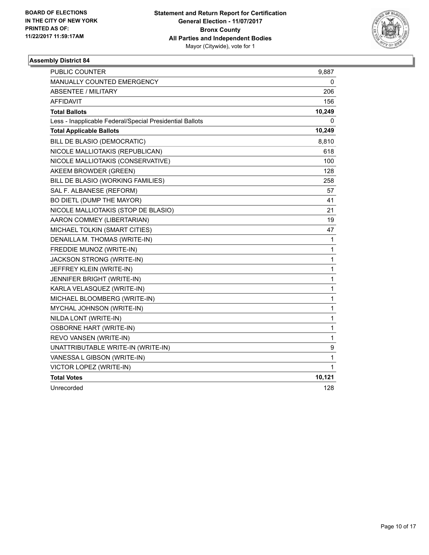

| <b>PUBLIC COUNTER</b>                                    | 9,887        |
|----------------------------------------------------------|--------------|
| MANUALLY COUNTED EMERGENCY                               | 0            |
| <b>ABSENTEE / MILITARY</b>                               | 206          |
| <b>AFFIDAVIT</b>                                         | 156          |
| <b>Total Ballots</b>                                     | 10,249       |
| Less - Inapplicable Federal/Special Presidential Ballots | 0            |
| <b>Total Applicable Ballots</b>                          | 10,249       |
| BILL DE BLASIO (DEMOCRATIC)                              | 8,810        |
| NICOLE MALLIOTAKIS (REPUBLICAN)                          | 618          |
| NICOLE MALLIOTAKIS (CONSERVATIVE)                        | 100          |
| AKEEM BROWDER (GREEN)                                    | 128          |
| BILL DE BLASIO (WORKING FAMILIES)                        | 258          |
| SAL F. ALBANESE (REFORM)                                 | 57           |
| BO DIETL (DUMP THE MAYOR)                                | 41           |
| NICOLE MALLIOTAKIS (STOP DE BLASIO)                      | 21           |
| AARON COMMEY (LIBERTARIAN)                               | 19           |
| MICHAEL TOLKIN (SMART CITIES)                            | 47           |
| DENAILLA M. THOMAS (WRITE-IN)                            | $\mathbf{1}$ |
| FREDDIE MUNOZ (WRITE-IN)                                 | 1            |
| JACKSON STRONG (WRITE-IN)                                | $\mathbf{1}$ |
| JEFFREY KLEIN (WRITE-IN)                                 | 1            |
| <b>JENNIFER BRIGHT (WRITE-IN)</b>                        | 1            |
| KARLA VELASQUEZ (WRITE-IN)                               | 1            |
| MICHAEL BLOOMBERG (WRITE-IN)                             | 1            |
| MYCHAL JOHNSON (WRITE-IN)                                | 1            |
| NILDA LONT (WRITE-IN)                                    | 1            |
| <b>OSBORNE HART (WRITE-IN)</b>                           | 1            |
| REVO VANSEN (WRITE-IN)                                   | 1            |
| UNATTRIBUTABLE WRITE-IN (WRITE-IN)                       | 9            |
| VANESSA L GIBSON (WRITE-IN)                              | 1            |
| VICTOR LOPEZ (WRITE-IN)                                  | 1            |
| <b>Total Votes</b>                                       | 10,121       |
| Unrecorded                                               | 128          |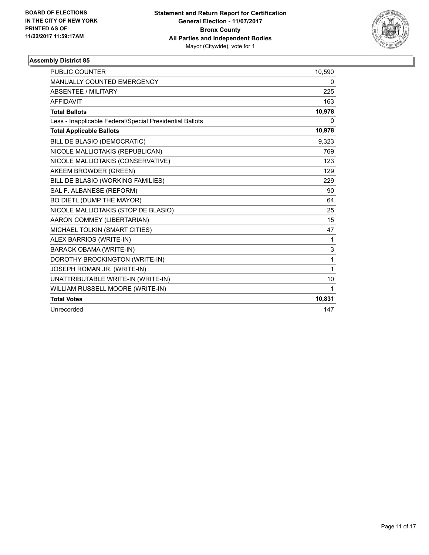

| <b>PUBLIC COUNTER</b>                                    | 10,590       |
|----------------------------------------------------------|--------------|
| MANUALLY COUNTED EMERGENCY                               | 0            |
| <b>ABSENTEE / MILITARY</b>                               | 225          |
| <b>AFFIDAVIT</b>                                         | 163          |
| <b>Total Ballots</b>                                     | 10,978       |
| Less - Inapplicable Federal/Special Presidential Ballots | 0            |
| <b>Total Applicable Ballots</b>                          | 10,978       |
| BILL DE BLASIO (DEMOCRATIC)                              | 9,323        |
| NICOLE MALLIOTAKIS (REPUBLICAN)                          | 769          |
| NICOLE MALLIOTAKIS (CONSERVATIVE)                        | 123          |
| AKEEM BROWDER (GREEN)                                    | 129          |
| BILL DE BLASIO (WORKING FAMILIES)                        | 229          |
| SAL F. ALBANESE (REFORM)                                 | 90           |
| BO DIETL (DUMP THE MAYOR)                                | 64           |
| NICOLE MALLIOTAKIS (STOP DE BLASIO)                      | 25           |
| AARON COMMEY (LIBERTARIAN)                               | 15           |
| MICHAEL TOLKIN (SMART CITIES)                            | 47           |
| ALEX BARRIOS (WRITE-IN)                                  | 1            |
| <b>BARACK OBAMA (WRITE-IN)</b>                           | 3            |
| DOROTHY BROCKINGTON (WRITE-IN)                           | 1            |
| JOSEPH ROMAN JR. (WRITE-IN)                              | $\mathbf{1}$ |
| UNATTRIBUTABLE WRITE-IN (WRITE-IN)                       | 10           |
| WILLIAM RUSSELL MOORE (WRITE-IN)                         | $\mathbf 1$  |
| <b>Total Votes</b>                                       | 10,831       |
| Unrecorded                                               | 147          |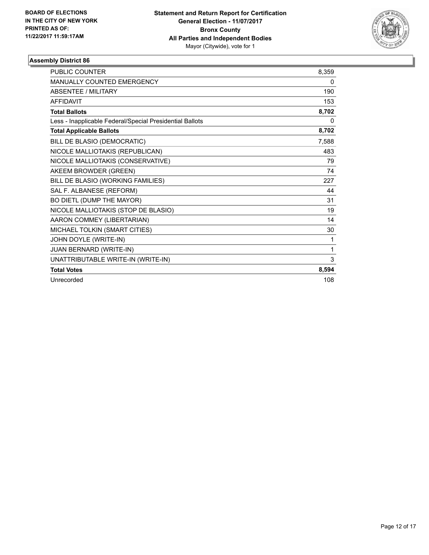

| <b>PUBLIC COUNTER</b>                                    | 8,359 |
|----------------------------------------------------------|-------|
| <b>MANUALLY COUNTED EMERGENCY</b>                        | 0     |
| <b>ABSENTEE / MILITARY</b>                               | 190   |
| <b>AFFIDAVIT</b>                                         | 153   |
| <b>Total Ballots</b>                                     | 8,702 |
| Less - Inapplicable Federal/Special Presidential Ballots | 0     |
| <b>Total Applicable Ballots</b>                          | 8,702 |
| BILL DE BLASIO (DEMOCRATIC)                              | 7,588 |
| NICOLE MALLIOTAKIS (REPUBLICAN)                          | 483   |
| NICOLE MALLIOTAKIS (CONSERVATIVE)                        | 79    |
| AKEEM BROWDER (GREEN)                                    | 74    |
| BILL DE BLASIO (WORKING FAMILIES)                        | 227   |
| SAL F. ALBANESE (REFORM)                                 | 44    |
| BO DIETL (DUMP THE MAYOR)                                | 31    |
| NICOLE MALLIOTAKIS (STOP DE BLASIO)                      | 19    |
| AARON COMMEY (LIBERTARIAN)                               | 14    |
| MICHAEL TOLKIN (SMART CITIES)                            | 30    |
| JOHN DOYLE (WRITE-IN)                                    | 1     |
| JUAN BERNARD (WRITE-IN)                                  | 1     |
| UNATTRIBUTABLE WRITE-IN (WRITE-IN)                       | 3     |
| <b>Total Votes</b>                                       | 8,594 |
| Unrecorded                                               | 108   |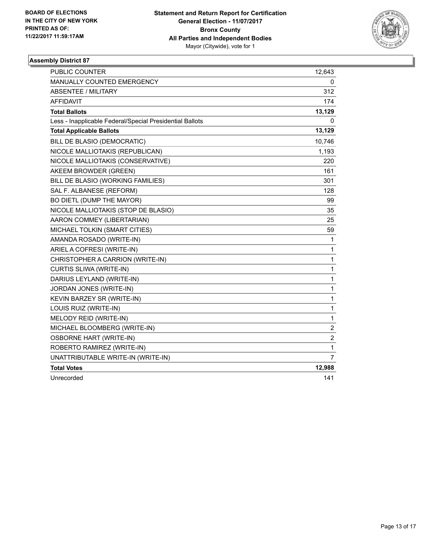

| <b>PUBLIC COUNTER</b>                                    | 12,643         |
|----------------------------------------------------------|----------------|
| MANUALLY COUNTED EMERGENCY                               | 0              |
| <b>ABSENTEE / MILITARY</b>                               | 312            |
| <b>AFFIDAVIT</b>                                         | 174            |
| <b>Total Ballots</b>                                     | 13,129         |
| Less - Inapplicable Federal/Special Presidential Ballots | 0              |
| <b>Total Applicable Ballots</b>                          | 13,129         |
| BILL DE BLASIO (DEMOCRATIC)                              | 10,746         |
| NICOLE MALLIOTAKIS (REPUBLICAN)                          | 1,193          |
| NICOLE MALLIOTAKIS (CONSERVATIVE)                        | 220            |
| AKEEM BROWDER (GREEN)                                    | 161            |
| BILL DE BLASIO (WORKING FAMILIES)                        | 301            |
| SAL F. ALBANESE (REFORM)                                 | 128            |
| BO DIETL (DUMP THE MAYOR)                                | 99             |
| NICOLE MALLIOTAKIS (STOP DE BLASIO)                      | 35             |
| AARON COMMEY (LIBERTARIAN)                               | 25             |
| MICHAEL TOLKIN (SMART CITIES)                            | 59             |
| AMANDA ROSADO (WRITE-IN)                                 | 1              |
| ARIEL A COFRESI (WRITE-IN)                               | $\mathbf{1}$   |
| CHRISTOPHER A CARRION (WRITE-IN)                         | $\mathbf{1}$   |
| CURTIS SLIWA (WRITE-IN)                                  | $\mathbf{1}$   |
| DARIUS LEYLAND (WRITE-IN)                                | $\mathbf{1}$   |
| JORDAN JONES (WRITE-IN)                                  | $\mathbf{1}$   |
| KEVIN BARZEY SR (WRITE-IN)                               | $\mathbf{1}$   |
| LOUIS RUIZ (WRITE-IN)                                    | $\mathbf{1}$   |
| MELODY REID (WRITE-IN)                                   | 1              |
| MICHAEL BLOOMBERG (WRITE-IN)                             | 2              |
| <b>OSBORNE HART (WRITE-IN)</b>                           | $\overline{c}$ |
| ROBERTO RAMIREZ (WRITE-IN)                               | 1              |
| UNATTRIBUTABLE WRITE-IN (WRITE-IN)                       | 7              |
| <b>Total Votes</b>                                       | 12,988         |
| Unrecorded                                               | 141            |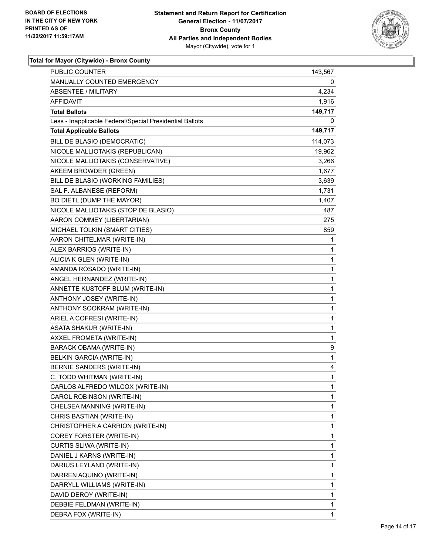

| <b>PUBLIC COUNTER</b>                                    | 143,567      |
|----------------------------------------------------------|--------------|
| MANUALLY COUNTED EMERGENCY                               | 0            |
| <b>ABSENTEE / MILITARY</b>                               | 4,234        |
| AFFIDAVIT                                                | 1,916        |
| <b>Total Ballots</b>                                     | 149,717      |
| Less - Inapplicable Federal/Special Presidential Ballots | 0            |
| <b>Total Applicable Ballots</b>                          | 149,717      |
| BILL DE BLASIO (DEMOCRATIC)                              | 114,073      |
| NICOLE MALLIOTAKIS (REPUBLICAN)                          | 19,962       |
| NICOLE MALLIOTAKIS (CONSERVATIVE)                        | 3,266        |
| AKEEM BROWDER (GREEN)                                    | 1,677        |
| BILL DE BLASIO (WORKING FAMILIES)                        | 3,639        |
| SAL F. ALBANESE (REFORM)                                 | 1,731        |
| BO DIETL (DUMP THE MAYOR)                                | 1,407        |
| NICOLE MALLIOTAKIS (STOP DE BLASIO)                      | 487          |
| AARON COMMEY (LIBERTARIAN)                               | 275          |
| MICHAEL TOLKIN (SMART CITIES)                            | 859          |
| AARON CHITELMAR (WRITE-IN)                               | 1            |
| ALEX BARRIOS (WRITE-IN)                                  | 1            |
| ALICIA K GLEN (WRITE-IN)                                 | 1            |
| AMANDA ROSADO (WRITE-IN)                                 | 1            |
| ANGEL HERNANDEZ (WRITE-IN)                               | 1            |
| ANNETTE KUSTOFF BLUM (WRITE-IN)                          | 1            |
| ANTHONY JOSEY (WRITE-IN)                                 | 1            |
| ANTHONY SOOKRAM (WRITE-IN)                               | $\mathbf{1}$ |
| ARIEL A COFRESI (WRITE-IN)                               | 1            |
| <b>ASATA SHAKUR (WRITE-IN)</b>                           | 1            |
| AXXEL FROMETA (WRITE-IN)                                 | $\mathbf{1}$ |
| BARACK OBAMA (WRITE-IN)                                  | 9            |
| BELKIN GARCIA (WRITE-IN)                                 | 1            |
| BERNIE SANDERS (WRITE-IN)                                | 4            |
| C. TODD WHITMAN (WRITE-IN)                               | 1            |
| CARLOS ALFREDO WILCOX (WRITE-IN)                         | 1            |
| CAROL ROBINSON (WRITE-IN)                                | 1            |
| CHELSEA MANNING (WRITE-IN)                               | 1            |
| CHRIS BASTIAN (WRITE-IN)                                 | 1            |
| CHRISTOPHER A CARRION (WRITE-IN)                         | 1            |
| COREY FORSTER (WRITE-IN)                                 | 1            |
| CURTIS SLIWA (WRITE-IN)                                  | 1            |
| DANIEL J KARNS (WRITE-IN)                                | 1            |
| DARIUS LEYLAND (WRITE-IN)                                | 1            |
| DARREN AQUINO (WRITE-IN)                                 | 1            |
| DARRYLL WILLIAMS (WRITE-IN)                              | 1            |
| DAVID DEROY (WRITE-IN)                                   | 1            |
| DEBBIE FELDMAN (WRITE-IN)                                | 1            |
| DEBRA FOX (WRITE-IN)                                     | 1            |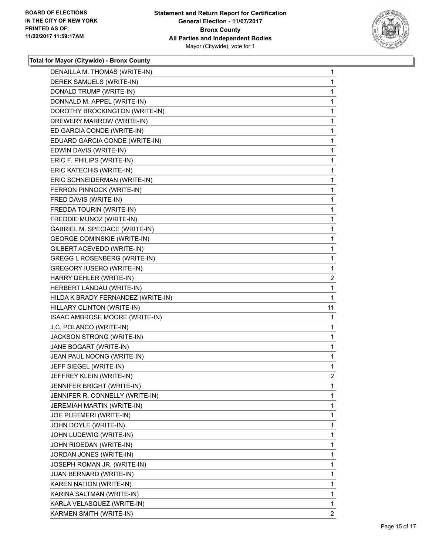

| DENAILLA M. THOMAS (WRITE-IN)         | 1              |
|---------------------------------------|----------------|
| DEREK SAMUELS (WRITE-IN)              | 1              |
| DONALD TRUMP (WRITE-IN)               | 1              |
| DONNALD M. APPEL (WRITE-IN)           | 1              |
| DOROTHY BROCKINGTON (WRITE-IN)        | 1              |
| DREWERY MARROW (WRITE-IN)             | 1              |
| ED GARCIA CONDE (WRITE-IN)            | 1              |
| EDUARD GARCIA CONDE (WRITE-IN)        | 1              |
| EDWIN DAVIS (WRITE-IN)                | 1              |
| ERIC F. PHILIPS (WRITE-IN)            | 1              |
| ERIC KATECHIS (WRITE-IN)              | 1              |
| ERIC SCHNEIDERMAN (WRITE-IN)          | 1              |
| FERRON PINNOCK (WRITE-IN)             | 1              |
| FRED DAVIS (WRITE-IN)                 | 1              |
| FREDDA TOURIN (WRITE-IN)              | 1              |
| FREDDIE MUNOZ (WRITE-IN)              | 1              |
| <b>GABRIEL M. SPECIACE (WRITE-IN)</b> | 1              |
| <b>GEORGE COMINSKIE (WRITE-IN)</b>    | 1              |
| GILBERT ACEVEDO (WRITE-IN)            | 1              |
| GREGG L ROSENBERG (WRITE-IN)          | 1              |
| <b>GREGORY IUSERO (WRITE-IN)</b>      | 1              |
| HARRY DEHLER (WRITE-IN)               | $\overline{2}$ |
| HERBERT LANDAU (WRITE-IN)             | 1              |
|                                       |                |
| HILDA K BRADY FERNANDEZ (WRITE-IN)    | 1              |
| HILLARY CLINTON (WRITE-IN)            | 11             |
| ISAAC AMBROSE MOORE (WRITE-IN)        | 1              |
| J.C. POLANCO (WRITE-IN)               | 1              |
| JACKSON STRONG (WRITE-IN)             | 1              |
| JANE BOGART (WRITE-IN)                | 1              |
| JEAN PAUL NOONG (WRITE-IN)            | 1              |
| JEFF SIEGEL (WRITE-IN)                | 1              |
| JEFFREY KLEIN (WRITE-IN)              | $\overline{2}$ |
| JENNIFER BRIGHT (WRITE-IN)            | 1              |
| JENNIFER R. CONNELLY (WRITE-IN)       | 1              |
| JEREMIAH MARTIN (WRITE-IN)            | 1              |
| JOE PLEEMERI (WRITE-IN)               | 1              |
| JOHN DOYLE (WRITE-IN)                 | 1              |
| JOHN LUDEWIG (WRITE-IN)               | 1              |
| JOHN RIOEDAN (WRITE-IN)               | 1              |
| JORDAN JONES (WRITE-IN)               | 1              |
| JOSEPH ROMAN JR. (WRITE-IN)           | 1              |
| JUAN BERNARD (WRITE-IN)               | 1              |
| KAREN NATION (WRITE-IN)               | 1              |
| KARINA SALTMAN (WRITE-IN)             | 1              |
| KARLA VELASQUEZ (WRITE-IN)            | 1              |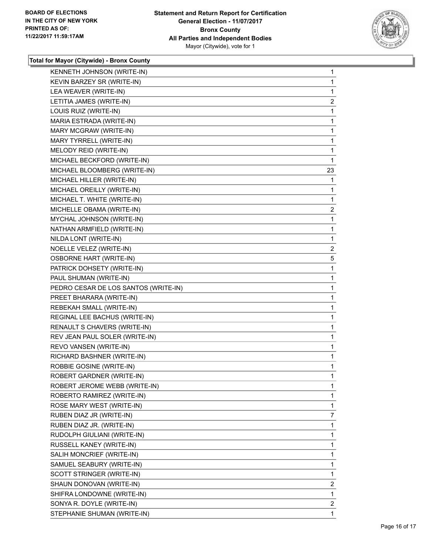

| KENNETH JOHNSON (WRITE-IN)           | 1              |
|--------------------------------------|----------------|
| KEVIN BARZEY SR (WRITE-IN)           | 1              |
| LEA WEAVER (WRITE-IN)                | 1              |
| LETITIA JAMES (WRITE-IN)             | 2              |
| LOUIS RUIZ (WRITE-IN)                | 1              |
| MARIA ESTRADA (WRITE-IN)             | 1              |
| MARY MCGRAW (WRITE-IN)               | 1              |
| MARY TYRRELL (WRITE-IN)              | 1              |
| MELODY REID (WRITE-IN)               | 1              |
| MICHAEL BECKFORD (WRITE-IN)          | 1              |
| MICHAEL BLOOMBERG (WRITE-IN)         | 23             |
| MICHAEL HILLER (WRITE-IN)            | 1              |
| MICHAEL OREILLY (WRITE-IN)           | 1              |
| MICHAEL T. WHITE (WRITE-IN)          | 1              |
| MICHELLE OBAMA (WRITE-IN)            | 2              |
| MYCHAL JOHNSON (WRITE-IN)            | 1              |
| NATHAN ARMFIELD (WRITE-IN)           | 1              |
| NILDA LONT (WRITE-IN)                | 1              |
| NOELLE VELEZ (WRITE-IN)              | $\overline{c}$ |
| <b>OSBORNE HART (WRITE-IN)</b>       | 5              |
| PATRICK DOHSETY (WRITE-IN)           | 1              |
| PAUL SHUMAN (WRITE-IN)               | 1              |
| PEDRO CESAR DE LOS SANTOS (WRITE-IN) | 1              |
| PREET BHARARA (WRITE-IN)             | 1              |
| REBEKAH SMALL (WRITE-IN)             | 1              |
| REGINAL LEE BACHUS (WRITE-IN)        | 1              |
| RENAULT S CHAVERS (WRITE-IN)         | 1              |
| REV JEAN PAUL SOLER (WRITE-IN)       | 1              |
| REVO VANSEN (WRITE-IN)               | 1              |
| RICHARD BASHNER (WRITE-IN)           | 1              |
| ROBBIE GOSINE (WRITE-IN)             | 1              |
| ROBERT GARDNER (WRITE-IN)            | 1              |
| ROBERT JEROME WEBB (WRITE-IN)        | 1              |
| ROBERTO RAMIREZ (WRITE-IN)           | 1              |
| ROSE MARY WEST (WRITE-IN)            | 1              |
| RUBEN DIAZ JR (WRITE-IN)             | 7              |
| RUBEN DIAZ JR. (WRITE-IN)            | 1              |
| RUDOLPH GIULIANI (WRITE-IN)          | 1              |
| RUSSELL KANEY (WRITE-IN)             | 1              |
| SALIH MONCRIEF (WRITE-IN)            | 1              |
| SAMUEL SEABURY (WRITE-IN)            | 1              |
| SCOTT STRINGER (WRITE-IN)            | 1              |
| SHAUN DONOVAN (WRITE-IN)             | 2              |
| SHIFRA LONDOWNE (WRITE-IN)           | 1              |
| SONYA R. DOYLE (WRITE-IN)            | $\mathbf{2}$   |
| STEPHANIE SHUMAN (WRITE-IN)          | 1              |